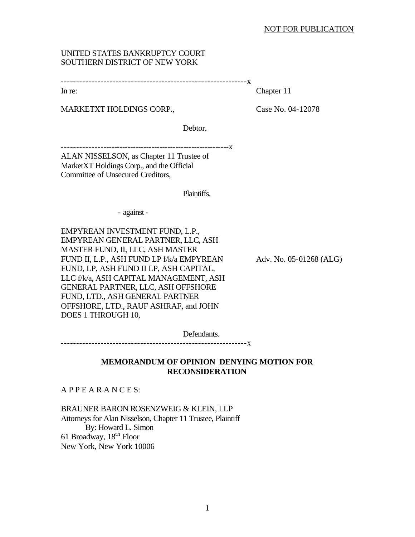## NOT FOR PUBLICATION

## UNITED STATES BANKRUPTCY COURT SOUTHERN DISTRICT OF NEW YORK

In re: Chapter 11

MARKETXT HOLDINGS CORP., Case No. 04-12078

Debtor.

-------------------------------------------------------------x

ALAN NISSELSON, as Chapter 11 Trustee of MarketXT Holdings Corp., and the Official Committee of Unsecured Creditors,

Plaintiffs,

- against -

EMPYREAN INVESTMENT FUND, L.P., EMPYREAN GENERAL PARTNER, LLC, ASH MASTER FUND, II, LLC, ASH MASTER FUND II, L.P., ASH FUND LP f/k/a EMPYREAN Adv. No. 05-01268 (ALG) FUND, LP, ASH FUND II LP, ASH CAPITAL, LLC f/k/a, ASH CAPITAL MANAGEMENT, ASH GENERAL PARTNER, LLC, ASH OFFSHORE FUND, LTD., ASH GENERAL PARTNER OFFSHORE, LTD., RAUF ASHRAF, and JOHN DOES 1 THROUGH 10,

Defendants.

-------------------------------------------------------------x

## **MEMORANDUM OF OPINION DENYING MOTION FOR RECONSIDERATION**

A P P E A R A N C E S:

BRAUNER BARON ROSENZWEIG & KLEIN, LLP Attorneys for Alan Nisselson, Chapter 11 Trustee, Plaintiff By: Howard L. Simon 61 Broadway, 18th Floor New York, New York 10006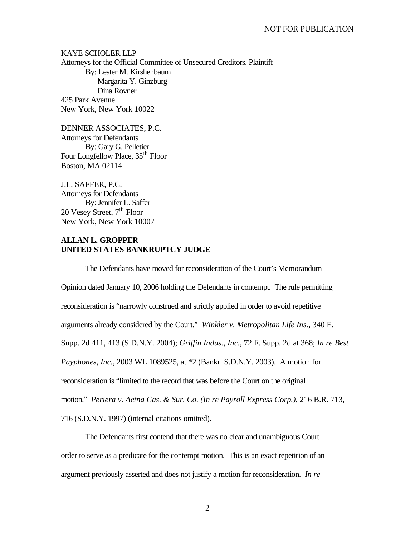KAYE SCHOLER LLP Attorneys for the Official Committee of Unsecured Creditors, Plaintiff By: Lester M. Kirshenbaum Margarita Y. Ginzburg Dina Rovner 425 Park Avenue New York, New York 10022

DENNER ASSOCIATES, P.C. Attorneys for Defendants By: Gary G. Pelletier Four Longfellow Place, 35<sup>th</sup> Floor Boston, MA 02114

J.L. SAFFER, P.C. Attorneys for Defendants By: Jennifer L. Saffer 20 Vesey Street,  $7<sup>th</sup>$  Floor New York, New York 10007

## **ALLAN L. GROPPER UNITED STATES BANKRUPTCY JUDGE**

The Defendants have moved for reconsideration of the Court's Memorandum Opinion dated January 10, 2006 holding the Defendants in contempt. The rule permitting reconsideration is "narrowly construed and strictly applied in order to avoid repetitive arguments already considered by the Court." *Winkler v. Metropolitan Life Ins.*, 340 F. Supp. 2d 411, 413 (S.D.N.Y. 2004); *Griffin Indus., Inc.*, 72 F. Supp. 2d at 368; *In re Best Payphones, Inc.*, 2003 WL 1089525, at \*2 (Bankr. S.D.N.Y. 2003). A motion for reconsideration is "limited to the record that was before the Court on the original motion." *Periera v. Aetna Cas. & Sur. Co. (In re Payroll Express Corp.)*, 216 B.R. 713, 716 (S.D.N.Y. 1997) (internal citations omitted).

The Defendants first contend that there was no clear and unambiguous Court order to serve as a predicate for the contempt motion. This is an exact repetition of an argument previously asserted and does not justify a motion for reconsideration. *In re*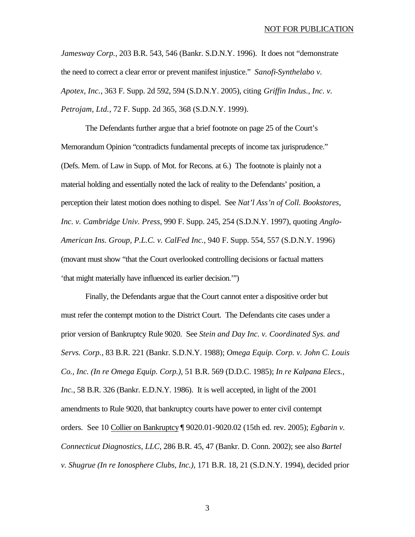*Jamesway Corp.*, 203 B.R. 543, 546 (Bankr. S.D.N.Y. 1996). It does not "demonstrate the need to correct a clear error or prevent manifest injustice." *Sanofi-Synthelabo v. Apotex, Inc.*, 363 F. Supp. 2d 592, 594 (S.D.N.Y. 2005), citing *Griffin Indus., Inc. v. Petrojam, Ltd.*, 72 F. Supp. 2d 365, 368 (S.D.N.Y. 1999).

The Defendants further argue that a brief footnote on page 25 of the Court's Memorandum Opinion "contradicts fundamental precepts of income tax jurisprudence." (Defs. Mem. of Law in Supp. of Mot. for Recons. at 6.) The footnote is plainly not a material holding and essentially noted the lack of reality to the Defendants' position, a perception their latest motion does nothing to dispel. See *Nat'l Ass'n of Coll. Bookstores, Inc. v. Cambridge Univ. Press*, 990 F. Supp. 245, 254 (S.D.N.Y. 1997), quoting *Anglo-American Ins. Group, P.L.C. v. CalFed Inc.*, 940 F. Supp. 554, 557 (S.D.N.Y. 1996) (movant must show "that the Court overlooked controlling decisions or factual matters 'that might materially have influenced its earlier decision.'")

Finally, the Defendants argue that the Court cannot enter a dispositive order but must refer the contempt motion to the District Court. The Defendants cite cases under a prior version of Bankruptcy Rule 9020. See *Stein and Day Inc. v. Coordinated Sys. and Servs. Corp.*, 83 B.R. 221 (Bankr. S.D.N.Y. 1988); *Omega Equip. Corp. v. John C. Louis Co., Inc. (In re Omega Equip. Corp.)*, 51 B.R. 569 (D.D.C. 1985); *In re Kalpana Elecs., Inc.*, 58 B.R. 326 (Bankr. E.D.N.Y. 1986). It is well accepted, in light of the 2001 amendments to Rule 9020, that bankruptcy courts have power to enter civil contempt orders. See 10 Collier on Bankruptcy ¶ 9020.01-9020.02 (15th ed. rev. 2005); *Egbarin v. Connecticut Diagnostics, LLC*, 286 B.R. 45, 47 (Bankr. D. Conn. 2002); see also *Bartel v. Shugrue (In re Ionosphere Clubs, Inc.)*, 171 B.R. 18, 21 (S.D.N.Y. 1994), decided prior

3